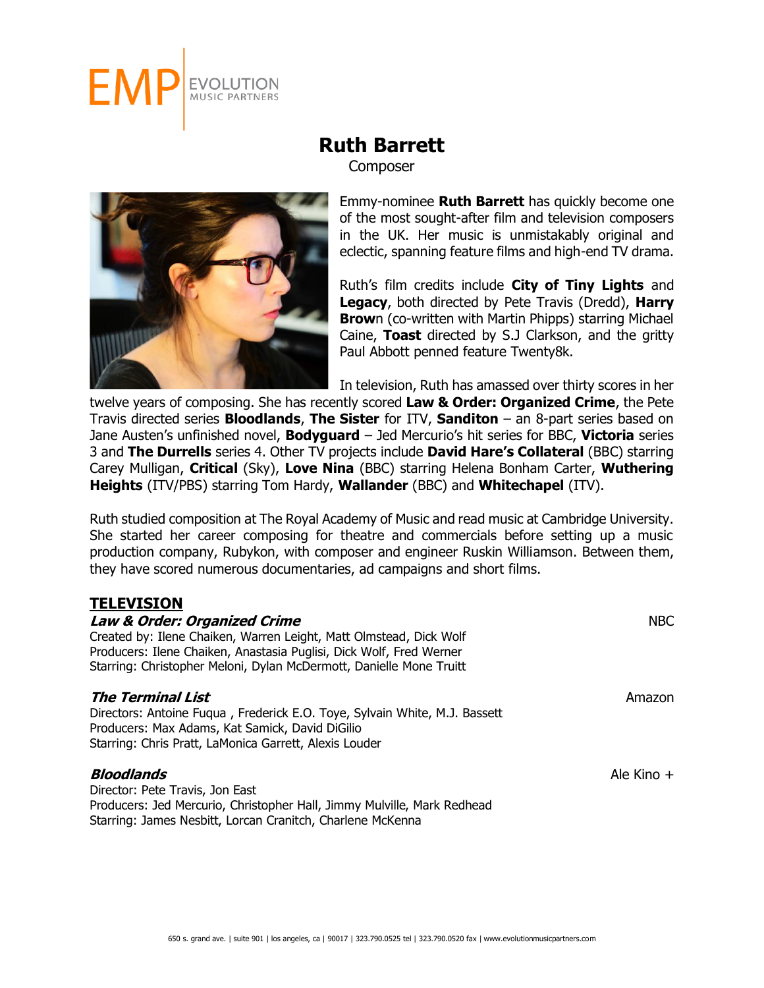

**Composer** 



Emmy-nominee **Ruth Barrett** has quickly become one of the most sought-after film and television composers in the UK. Her music is unmistakably original and eclectic, spanning feature films and high-end TV drama.

Ruth's film credits include **City of Tiny Lights** and **Legacy**, both directed by Pete Travis (Dredd), **Harry Brow**n (co-written with Martin Phipps) starring Michael Caine, **Toast** directed by S.J Clarkson, and the gritty Paul Abbott penned feature Twenty8k.

In television, Ruth has amassed over thirty scores in her

twelve years of composing. She has recently scored **Law & Order: Organized Crime**, the Pete Travis directed series **Bloodlands**, **The Sister** for ITV, **Sanditon** – an 8-part series based on Jane Austen's unfinished novel, **Bodyguard** – Jed Mercurio's hit series for BBC, **Victoria** series 3 and **The Durrells** series 4. Other TV projects include **David Hare's Collateral** (BBC) starring Carey Mulligan, **Critical** (Sky), **Love Nina** (BBC) starring Helena Bonham Carter, **Wuthering Heights** (ITV/PBS) starring Tom Hardy, **Wallander** (BBC) and **Whitechapel** (ITV).

Ruth studied composition at The Royal Academy of Music and read music at Cambridge University. She started her career composing for theatre and commercials before setting up a music production company, Rubykon, with composer and engineer Ruskin Williamson. Between them, they have scored numerous documentaries, ad campaigns and short films.

## **TELEVISION**

| <b>Law &amp; Order: Organized Crime</b><br>Created by: Ilene Chaiken, Warren Leight, Matt Olmstead, Dick Wolf<br>Producers: Ilene Chaiken, Anastasia Puglisi, Dick Wolf, Fred Werner<br>Starring: Christopher Meloni, Dylan McDermott, Danielle Mone Truitt | <b>NBC</b>   |  |
|-------------------------------------------------------------------------------------------------------------------------------------------------------------------------------------------------------------------------------------------------------------|--------------|--|
| The Terminal List<br>Directors: Antoine Fugua, Frederick E.O. Toye, Sylvain White, M.J. Bassett<br>Producers: Max Adams, Kat Samick, David DiGilio<br>Starring: Chris Pratt, LaMonica Garrett, Alexis Louder                                                | Amazon       |  |
| <b>Bloodlands</b><br>Director: Pete Travis, Jon East<br>Producers: Jed Mercurio, Christopher Hall, Jimmy Mulville, Mark Redhead                                                                                                                             | Ale Kino $+$ |  |

Starring: James Nesbitt, Lorcan Cranitch, Charlene McKenna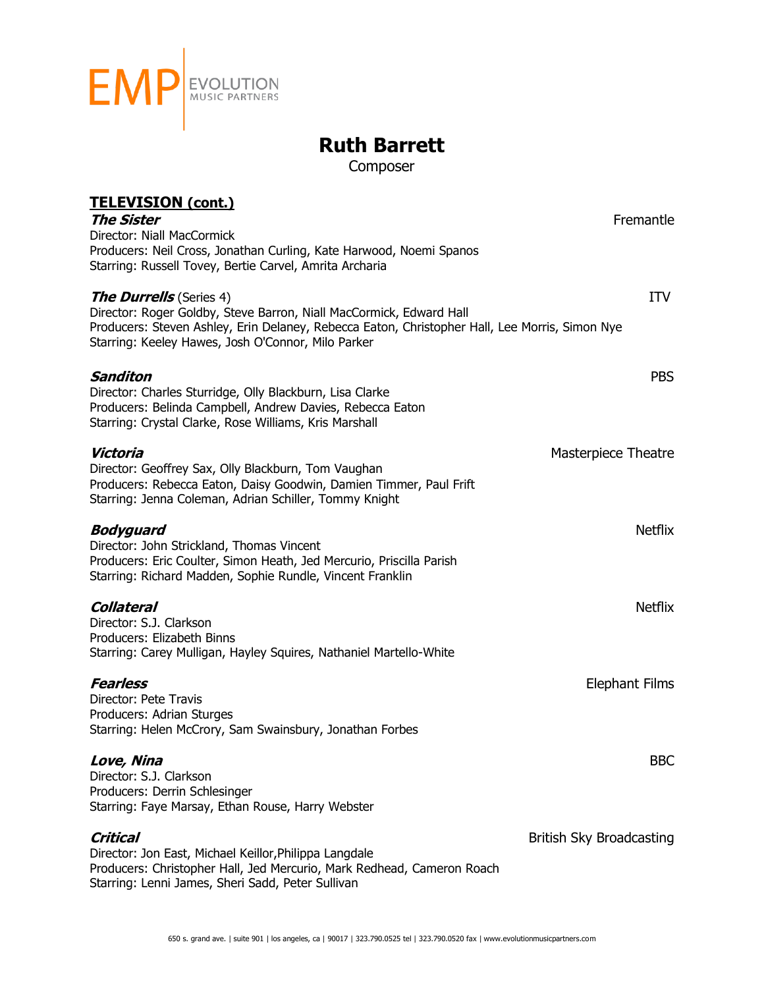

Composer

| <b>TELEVISION (cont.)</b>                                                                                             |                          |
|-----------------------------------------------------------------------------------------------------------------------|--------------------------|
| <b>The Sister</b>                                                                                                     | Fremantle                |
| Director: Niall MacCormick                                                                                            |                          |
| Producers: Neil Cross, Jonathan Curling, Kate Harwood, Noemi Spanos                                                   |                          |
| Starring: Russell Tovey, Bertie Carvel, Amrita Archaria                                                               |                          |
| <b>The Durrells</b> (Series 4)                                                                                        | <b>ITV</b>               |
| Director: Roger Goldby, Steve Barron, Niall MacCormick, Edward Hall                                                   |                          |
| Producers: Steven Ashley, Erin Delaney, Rebecca Eaton, Christopher Hall, Lee Morris, Simon Nye                        |                          |
| Starring: Keeley Hawes, Josh O'Connor, Milo Parker                                                                    |                          |
|                                                                                                                       |                          |
| <b>Sanditon</b>                                                                                                       | <b>PBS</b>               |
| Director: Charles Sturridge, Olly Blackburn, Lisa Clarke<br>Producers: Belinda Campbell, Andrew Davies, Rebecca Eaton |                          |
| Starring: Crystal Clarke, Rose Williams, Kris Marshall                                                                |                          |
|                                                                                                                       |                          |
| Victoria                                                                                                              | Masterpiece Theatre      |
| Director: Geoffrey Sax, Olly Blackburn, Tom Vaughan                                                                   |                          |
| Producers: Rebecca Eaton, Daisy Goodwin, Damien Timmer, Paul Frift                                                    |                          |
| Starring: Jenna Coleman, Adrian Schiller, Tommy Knight                                                                |                          |
| <b>Bodyguard</b>                                                                                                      | <b>Netflix</b>           |
| Director: John Strickland, Thomas Vincent                                                                             |                          |
| Producers: Eric Coulter, Simon Heath, Jed Mercurio, Priscilla Parish                                                  |                          |
| Starring: Richard Madden, Sophie Rundle, Vincent Franklin                                                             |                          |
| <b>Collateral</b>                                                                                                     | <b>Netflix</b>           |
| Director: S.J. Clarkson                                                                                               |                          |
| Producers: Elizabeth Binns                                                                                            |                          |
| Starring: Carey Mulligan, Hayley Squires, Nathaniel Martello-White                                                    |                          |
| <b>Fearless</b>                                                                                                       | <b>Elephant Films</b>    |
| Director: Pete Travis                                                                                                 |                          |
| Producers: Adrian Sturges                                                                                             |                          |
| Starring: Helen McCrory, Sam Swainsbury, Jonathan Forbes                                                              |                          |
| Love, Nina                                                                                                            | <b>BBC</b>               |
| Director: S.J. Clarkson                                                                                               |                          |
| Producers: Derrin Schlesinger                                                                                         |                          |
| Starring: Faye Marsay, Ethan Rouse, Harry Webster                                                                     |                          |
|                                                                                                                       |                          |
| Critical<br>Director: Jon East, Michael Keillor, Philippa Langdale                                                    | British Sky Broadcasting |
| Producers: Christopher Hall, Jed Mercurio, Mark Redhead, Cameron Roach                                                |                          |
| Starring: Lenni James, Sheri Sadd, Peter Sullivan                                                                     |                          |
|                                                                                                                       |                          |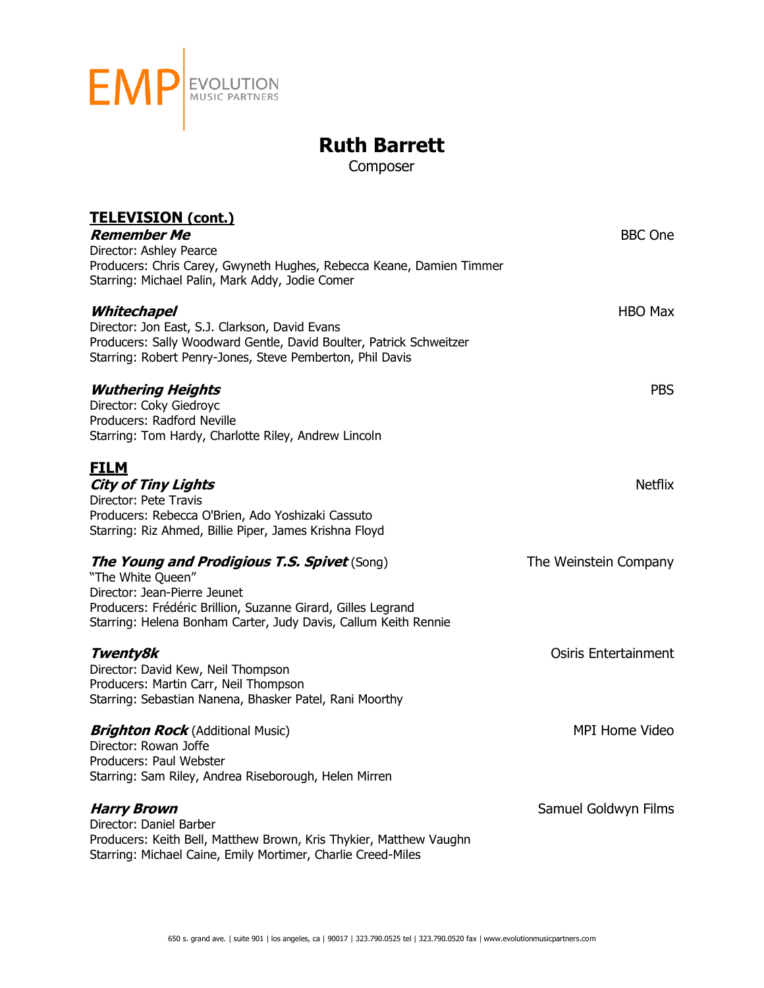

Composer

| <u>TELEVISION (cont.)</u><br><b>Remember Me</b><br>Director: Ashley Pearce<br>Producers: Chris Carey, Gwyneth Hughes, Rebecca Keane, Damien Timmer<br>Starring: Michael Palin, Mark Addy, Jodie Comer                                      | <b>BBC</b> One              |
|--------------------------------------------------------------------------------------------------------------------------------------------------------------------------------------------------------------------------------------------|-----------------------------|
| Whitechapel<br>Director: Jon East, S.J. Clarkson, David Evans<br>Producers: Sally Woodward Gentle, David Boulter, Patrick Schweitzer<br>Starring: Robert Penry-Jones, Steve Pemberton, Phil Davis                                          | HBO Max                     |
| <b>Wuthering Heights</b><br>Director: Coky Giedroyc<br>Producers: Radford Neville<br>Starring: Tom Hardy, Charlotte Riley, Andrew Lincoln                                                                                                  | <b>PBS</b>                  |
| <u>FILM</u><br><b>City of Tiny Lights</b><br>Director: Pete Travis<br>Producers: Rebecca O'Brien, Ado Yoshizaki Cassuto<br>Starring: Riz Ahmed, Billie Piper, James Krishna Floyd                                                          | <b>Netflix</b>              |
| <b>The Young and Prodigious T.S. Spivet</b> (Song)<br>"The White Queen"<br>Director: Jean-Pierre Jeunet<br>Producers: Frédéric Brillion, Suzanne Girard, Gilles Legrand<br>Starring: Helena Bonham Carter, Judy Davis, Callum Keith Rennie | The Weinstein Company       |
| Twenty8k<br>Director: David Kew, Neil Thompson<br>Producers: Martin Carr, Neil Thompson<br>Starring: Sebastian Nanena, Bhasker Patel, Rani Moorthy                                                                                         | <b>Osiris Entertainment</b> |
| <b>Brighton Rock</b> (Additional Music)<br>Director: Rowan Joffe<br>Producers: Paul Webster<br>Starring: Sam Riley, Andrea Riseborough, Helen Mirren                                                                                       | <b>MPI Home Video</b>       |
| <b>Harry Brown</b><br>Director: Daniel Barber<br>Producers: Keith Bell, Matthew Brown, Kris Thykier, Matthew Vaughn<br>Starring: Michael Caine, Emily Mortimer, Charlie Creed-Miles                                                        | Samuel Goldwyn Films        |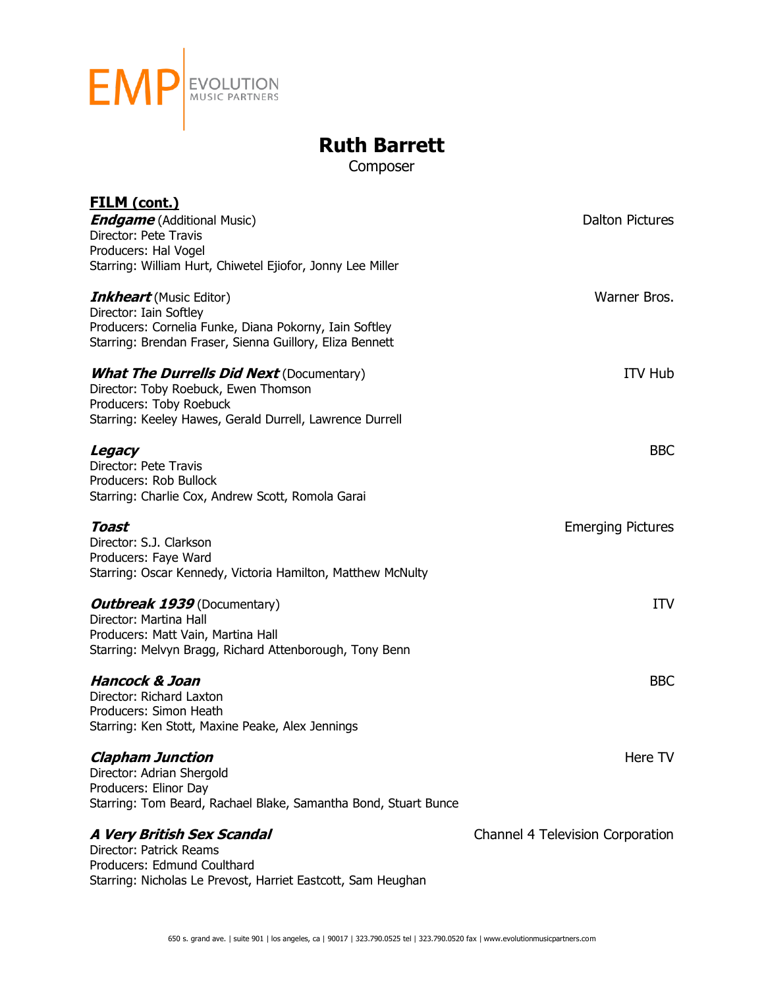

Composer

| <u>FILM (cont.)</u><br><b>Endgame</b> (Additional Music)                                      | <b>Dalton Pictures</b>           |
|-----------------------------------------------------------------------------------------------|----------------------------------|
| Director: Pete Travis                                                                         |                                  |
| Producers: Hal Vogel<br>Starring: William Hurt, Chiwetel Ejiofor, Jonny Lee Miller            |                                  |
|                                                                                               |                                  |
| <b>Inkheart</b> (Music Editor)                                                                | Warner Bros.                     |
| Director: Iain Softley<br>Producers: Cornelia Funke, Diana Pokorny, Iain Softley              |                                  |
| Starring: Brendan Fraser, Sienna Guillory, Eliza Bennett                                      |                                  |
| <b>What The Durrells Did Next</b> (Documentary)                                               | <b>ITV Hub</b>                   |
| Director: Toby Roebuck, Ewen Thomson                                                          |                                  |
| Producers: Toby Roebuck                                                                       |                                  |
| Starring: Keeley Hawes, Gerald Durrell, Lawrence Durrell                                      |                                  |
| Legacy                                                                                        | <b>BBC</b>                       |
| Director: Pete Travis                                                                         |                                  |
| Producers: Rob Bullock<br>Starring: Charlie Cox, Andrew Scott, Romola Garai                   |                                  |
|                                                                                               |                                  |
| Toast                                                                                         | <b>Emerging Pictures</b>         |
| Director: S.J. Clarkson                                                                       |                                  |
| Producers: Faye Ward<br>Starring: Oscar Kennedy, Victoria Hamilton, Matthew McNulty           |                                  |
|                                                                                               |                                  |
| <b>Outbreak 1939</b> (Documentary)                                                            | <b>ITV</b>                       |
| Director: Martina Hall                                                                        |                                  |
| Producers: Matt Vain, Martina Hall<br>Starring: Melvyn Bragg, Richard Attenborough, Tony Benn |                                  |
|                                                                                               |                                  |
| <b>Hancock &amp; Joan</b>                                                                     | <b>BBC</b>                       |
| Director: Richard Laxton<br>Producers: Simon Heath                                            |                                  |
| Starring: Ken Stott, Maxine Peake, Alex Jennings                                              |                                  |
|                                                                                               |                                  |
| <b>Clapham Junction</b>                                                                       | Here TV                          |
| Director: Adrian Shergold<br>Producers: Elinor Day                                            |                                  |
| Starring: Tom Beard, Rachael Blake, Samantha Bond, Stuart Bunce                               |                                  |
|                                                                                               |                                  |
| <b>A Very British Sex Scandal</b><br>Director: Patrick Reams                                  | Channel 4 Television Corporation |
| Producers: Edmund Coulthard                                                                   |                                  |
| Starring: Nicholas Le Prevost, Harriet Eastcott, Sam Heughan                                  |                                  |